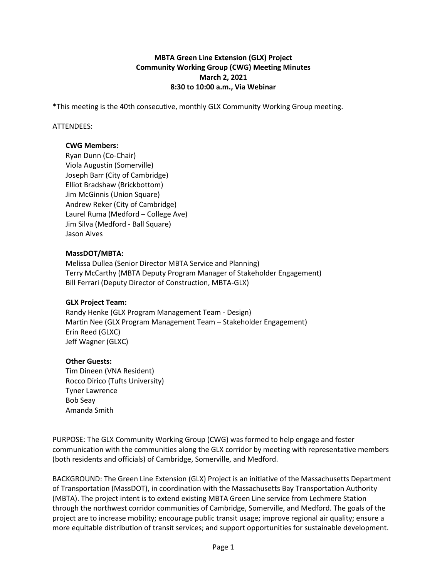## **MBTA Green Line Extension (GLX) Project Community Working Group (CWG) Meeting Minutes March 2, 2021 8:30 to 10:00 a.m., Via Webinar**

\*This meeting is the 40th consecutive, monthly GLX Community Working Group meeting.

### ATTENDEES:

### **CWG Members:**

Ryan Dunn (Co-Chair) Viola Augustin (Somerville) Joseph Barr (City of Cambridge) Elliot Bradshaw (Brickbottom) Jim McGinnis (Union Square) Andrew Reker (City of Cambridge) Laurel Ruma (Medford – College Ave) Jim Silva (Medford - Ball Square) Jason Alves

### **MassDOT/MBTA:**

Melissa Dullea (Senior Director MBTA Service and Planning) Terry McCarthy (MBTA Deputy Program Manager of Stakeholder Engagement) Bill Ferrari (Deputy Director of Construction, MBTA-GLX)

### **GLX Project Team:**

Randy Henke (GLX Program Management Team - Design) Martin Nee (GLX Program Management Team – Stakeholder Engagement) Erin Reed (GLXC) Jeff Wagner (GLXC)

# **Other Guests:**

Tim Dineen (VNA Resident) Rocco Dirico (Tufts University) Tyner Lawrence Bob Seay Amanda Smith

PURPOSE: The GLX Community Working Group (CWG) was formed to help engage and foster communication with the communities along the GLX corridor by meeting with representative members (both residents and officials) of Cambridge, Somerville, and Medford.

BACKGROUND: The Green Line Extension (GLX) Project is an initiative of the Massachusetts Department of Transportation (MassDOT), in coordination with the Massachusetts Bay Transportation Authority (MBTA). The project intent is to extend existing MBTA Green Line service from Lechmere Station through the northwest corridor communities of Cambridge, Somerville, and Medford. The goals of the project are to increase mobility; encourage public transit usage; improve regional air quality; ensure a more equitable distribution of transit services; and support opportunities for sustainable development.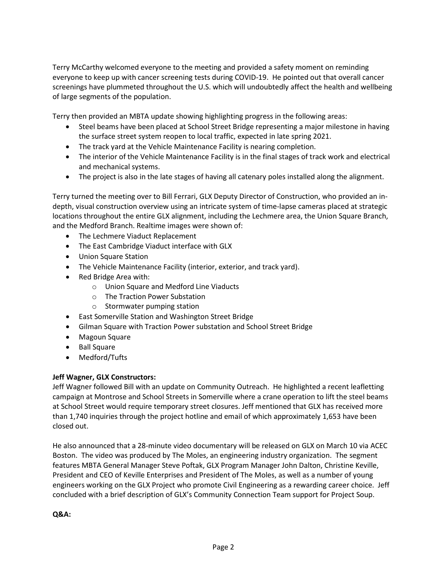Terry McCarthy welcomed everyone to the meeting and provided a safety moment on reminding everyone to keep up with cancer screening tests during COVID-19. He pointed out that overall cancer screenings have plummeted throughout the U.S. which will undoubtedly affect the health and wellbeing of large segments of the population.

Terry then provided an MBTA update showing highlighting progress in the following areas:

- Steel beams have been placed at School Street Bridge representing a major milestone in having the surface street system reopen to local traffic, expected in late spring 2021.
- The track yard at the Vehicle Maintenance Facility is nearing completion.
- The interior of the Vehicle Maintenance Facility is in the final stages of track work and electrical and mechanical systems.
- The project is also in the late stages of having all catenary poles installed along the alignment.

Terry turned the meeting over to Bill Ferrari, GLX Deputy Director of Construction, who provided an indepth, visual construction overview using an intricate system of time-lapse cameras placed at strategic locations throughout the entire GLX alignment, including the Lechmere area, the Union Square Branch, and the Medford Branch. Realtime images were shown of:

- The Lechmere Viaduct Replacement
- The East Cambridge Viaduct interface with GLX
- Union Square Station
- The Vehicle Maintenance Facility (interior, exterior, and track yard).
- Red Bridge Area with:
	- o Union Square and Medford Line Viaducts
	- o The Traction Power Substation
	- o Stormwater pumping station
- East Somerville Station and Washington Street Bridge
- Gilman Square with Traction Power substation and School Street Bridge
- Magoun Square
- Ball Square
- Medford/Tufts

### **Jeff Wagner, GLX Constructors:**

Jeff Wagner followed Bill with an update on Community Outreach. He highlighted a recent leafletting campaign at Montrose and School Streets in Somerville where a crane operation to lift the steel beams at School Street would require temporary street closures. Jeff mentioned that GLX has received more than 1,740 inquiries through the project hotline and email of which approximately 1,653 have been closed out.

He also announced that a 28-minute video documentary will be released on GLX on March 10 via ACEC Boston. The video was produced by The Moles, an engineering industry organization. The segment features MBTA General Manager Steve Poftak, GLX Program Manager John Dalton, Christine Keville, President and CEO of Keville Enterprises and President of The Moles, as well as a number of young engineers working on the GLX Project who promote Civil Engineering as a rewarding career choice. Jeff concluded with a brief description of GLX's Community Connection Team support for Project Soup.

**Q&A:**